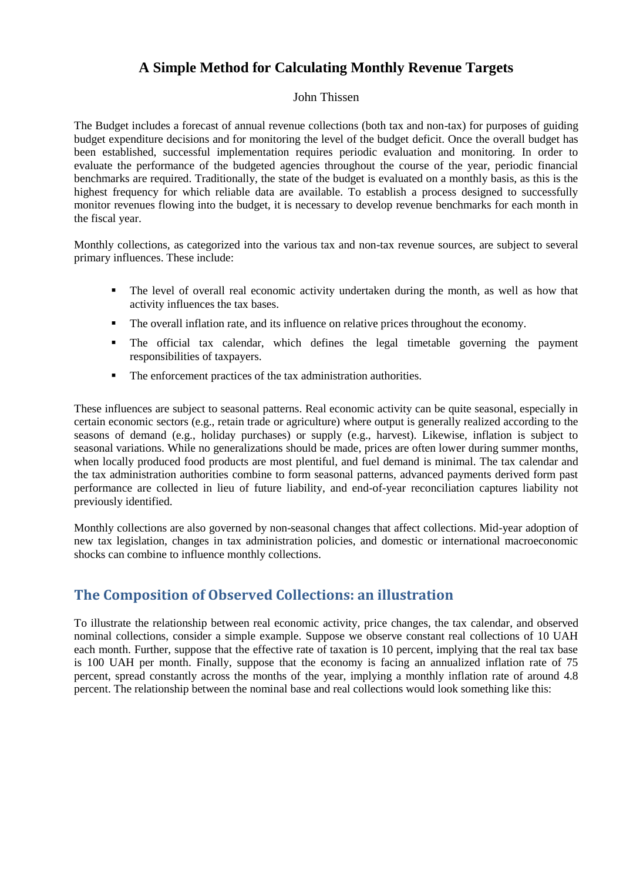## **A Simple Method for Calculating Monthly Revenue Targets**

#### John Thissen

The Budget includes a forecast of annual revenue collections (both tax and non-tax) for purposes of guiding budget expenditure decisions and for monitoring the level of the budget deficit. Once the overall budget has been established, successful implementation requires periodic evaluation and monitoring. In order to evaluate the performance of the budgeted agencies throughout the course of the year, periodic financial benchmarks are required. Traditionally, the state of the budget is evaluated on a monthly basis, as this is the highest frequency for which reliable data are available. To establish a process designed to successfully monitor revenues flowing into the budget, it is necessary to develop revenue benchmarks for each month in the fiscal year.

Monthly collections, as categorized into the various tax and non-tax revenue sources, are subject to several primary influences. These include:

- The level of overall real economic activity undertaken during the month, as well as how that activity influences the tax bases.
- The overall inflation rate, and its influence on relative prices throughout the economy.
- The official tax calendar, which defines the legal timetable governing the payment responsibilities of taxpayers.
- The enforcement practices of the tax administration authorities.

These influences are subject to seasonal patterns. Real economic activity can be quite seasonal, especially in certain economic sectors (e.g., retain trade or agriculture) where output is generally realized according to the seasons of demand (e.g., holiday purchases) or supply (e.g., harvest). Likewise, inflation is subject to seasonal variations. While no generalizations should be made, prices are often lower during summer months, when locally produced food products are most plentiful, and fuel demand is minimal. The tax calendar and the tax administration authorities combine to form seasonal patterns, advanced payments derived form past performance are collected in lieu of future liability, and end-of-year reconciliation captures liability not previously identified.

Monthly collections are also governed by non-seasonal changes that affect collections. Mid-year adoption of new tax legislation, changes in tax administration policies, and domestic or international macroeconomic shocks can combine to influence monthly collections.

## **The Composition of Observed Collections: an illustration**

To illustrate the relationship between real economic activity, price changes, the tax calendar, and observed nominal collections, consider a simple example. Suppose we observe constant real collections of 10 UAH each month. Further, suppose that the effective rate of taxation is 10 percent, implying that the real tax base is 100 UAH per month. Finally, suppose that the economy is facing an annualized inflation rate of 75 percent, spread constantly across the months of the year, implying a monthly inflation rate of around 4.8 percent. The relationship between the nominal base and real collections would look something like this: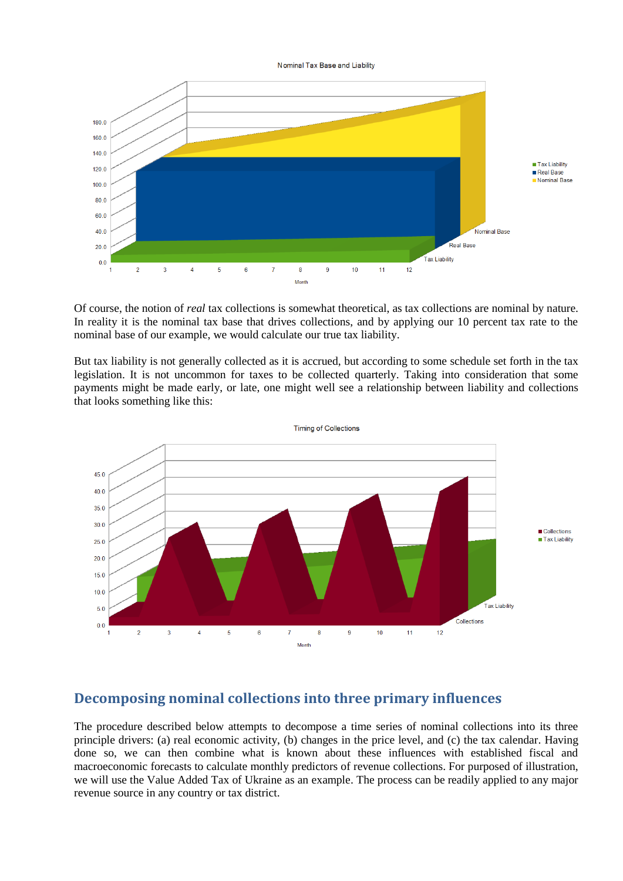Nominal Tax Base and Liability



Of course, the notion of *real* tax collections is somewhat theoretical, as tax collections are nominal by nature. In reality it is the nominal tax base that drives collections, and by applying our 10 percent tax rate to the nominal base of our example, we would calculate our true tax liability.

But tax liability is not generally collected as it is accrued, but according to some schedule set forth in the tax legislation. It is not uncommon for taxes to be collected quarterly. Taking into consideration that some payments might be made early, or late, one might well see a relationship between liability and collections that looks something like this:



#### **Decomposing nominal collections into three primary influences**

The procedure described below attempts to decompose a time series of nominal collections into its three principle drivers: (a) real economic activity, (b) changes in the price level, and (c) the tax calendar. Having done so, we can then combine what is known about these influences with established fiscal and macroeconomic forecasts to calculate monthly predictors of revenue collections. For purposed of illustration, we will use the Value Added Tax of Ukraine as an example. The process can be readily applied to any major revenue source in any country or tax district.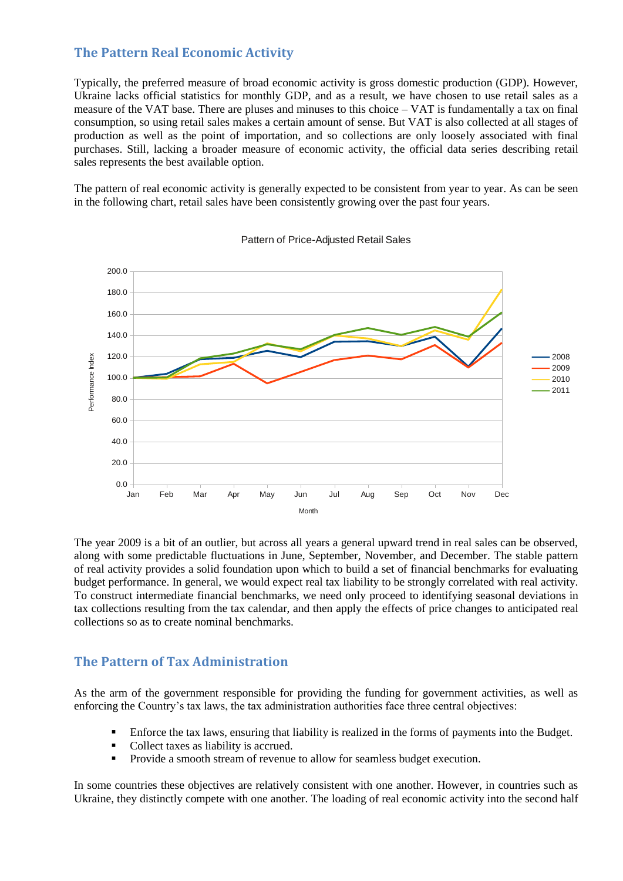#### **The Pattern Real Economic Activity**

Typically, the preferred measure of broad economic activity is gross domestic production (GDP). However, Ukraine lacks official statistics for monthly GDP, and as a result, we have chosen to use retail sales as a measure of the VAT base. There are pluses and minuses to this choice – VAT is fundamentally a tax on final consumption, so using retail sales makes a certain amount of sense. But VAT is also collected at all stages of production as well as the point of importation, and so collections are only loosely associated with final purchases. Still, lacking a broader measure of economic activity, the official data series describing retail sales represents the best available option.

The pattern of real economic activity is generally expected to be consistent from year to year. As can be seen in the following chart, retail sales have been consistently growing over the past four years.



Pattern of Price-Adjusted Retail Sales

The year 2009 is a bit of an outlier, but across all years a general upward trend in real sales can be observed, along with some predictable fluctuations in June, September, November, and December. The stable pattern of real activity provides a solid foundation upon which to build a set of financial benchmarks for evaluating budget performance. In general, we would expect real tax liability to be strongly correlated with real activity. To construct intermediate financial benchmarks, we need only proceed to identifying seasonal deviations in tax collections resulting from the tax calendar, and then apply the effects of price changes to anticipated real collections so as to create nominal benchmarks.

#### **The Pattern of Tax Administration**

As the arm of the government responsible for providing the funding for government activities, as well as enforcing the Country's tax laws, the tax administration authorities face three central objectives:

- Enforce the tax laws, ensuring that liability is realized in the forms of payments into the Budget.
- Collect taxes as liability is accrued.
- **Provide a smooth stream of revenue to allow for seamless budget execution.**

In some countries these objectives are relatively consistent with one another. However, in countries such as Ukraine, they distinctly compete with one another. The loading of real economic activity into the second half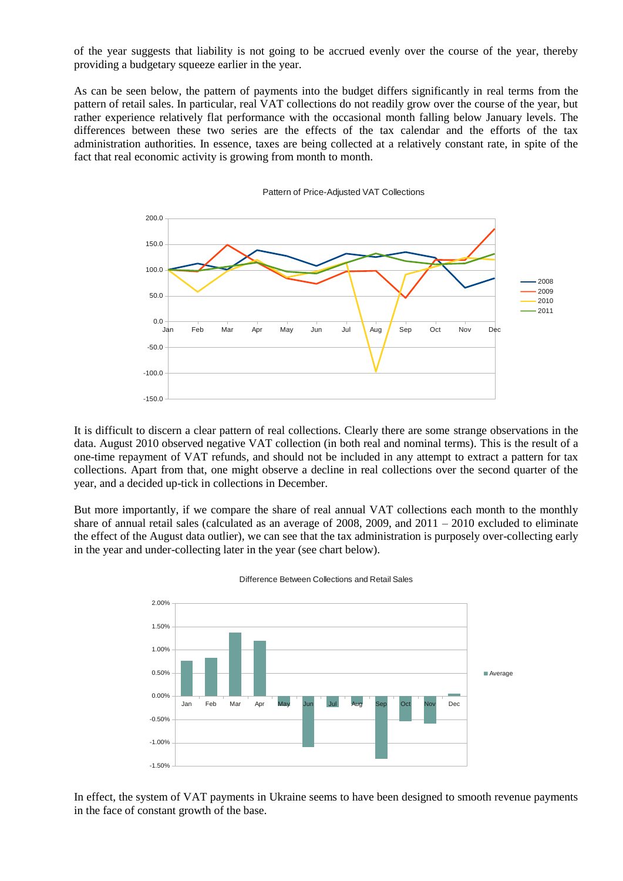of the year suggests that liability is not going to be accrued evenly over the course of the year, thereby providing a budgetary squeeze earlier in the year.

As can be seen below, the pattern of payments into the budget differs significantly in real terms from the pattern of retail sales. In particular, real VAT collections do not readily grow over the course of the year, but rather experience relatively flat performance with the occasional month falling below January levels. The differences between these two series are the effects of the tax calendar and the efforts of the tax administration authorities. In essence, taxes are being collected at a relatively constant rate, in spite of the fact that real economic activity is growing from month to month.



Pattern of Price-Adjusted VAT Collections

It is difficult to discern a clear pattern of real collections. Clearly there are some strange observations in the data. August 2010 observed negative VAT collection (in both real and nominal terms). This is the result of a one-time repayment of VAT refunds, and should not be included in any attempt to extract a pattern for tax collections. Apart from that, one might observe a decline in real collections over the second quarter of the year, and a decided up-tick in collections in December.

But more importantly, if we compare the share of real annual VAT collections each month to the monthly share of annual retail sales (calculated as an average of 2008, 2009, and  $2011 - 2010$  excluded to eliminate the effect of the August data outlier), we can see that the tax administration is purposely over-collecting early in the year and under-collecting later in the year (see chart below).



Difference Between Collections and Retail Sales

In effect, the system of VAT payments in Ukraine seems to have been designed to smooth revenue payments in the face of constant growth of the base.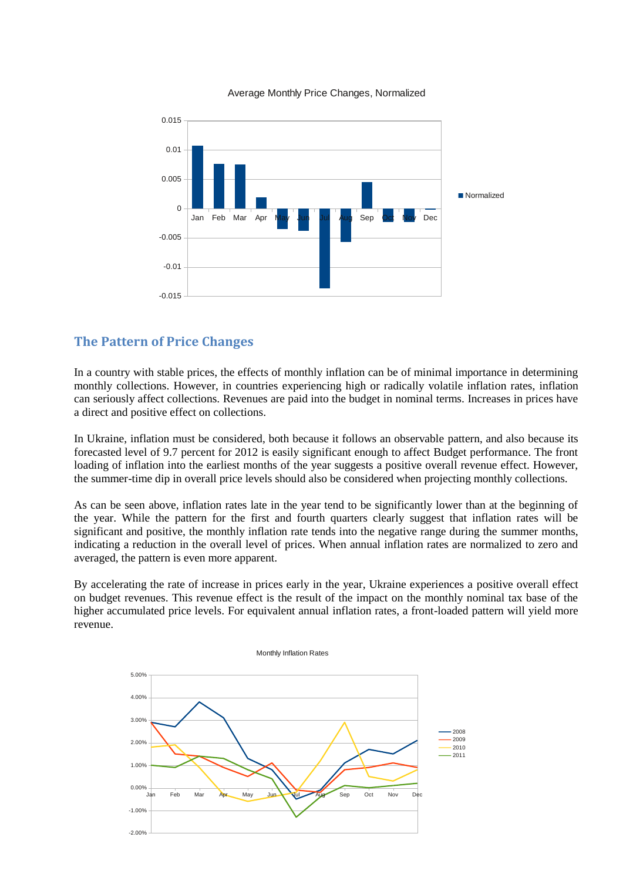

Average Monthly Price Changes, Normalized

### **The Pattern of Price Changes**

In a country with stable prices, the effects of monthly inflation can be of minimal importance in determining monthly collections. However, in countries experiencing high or radically volatile inflation rates, inflation can seriously affect collections. Revenues are paid into the budget in nominal terms. Increases in prices have a direct and positive effect on collections.

In Ukraine, inflation must be considered, both because it follows an observable pattern, and also because its forecasted level of 9.7 percent for 2012 is easily significant enough to affect Budget performance. The front loading of inflation into the earliest months of the year suggests a positive overall revenue effect. However, the summer-time dip in overall price levels should also be considered when projecting monthly collections.

As can be seen above, inflation rates late in the year tend to be significantly lower than at the beginning of the year. While the pattern for the first and fourth quarters clearly suggest that inflation rates will be significant and positive, the monthly inflation rate tends into the negative range during the summer months, indicating a reduction in the overall level of prices. When annual inflation rates are normalized to zero and averaged, the pattern is even more apparent.

By accelerating the rate of increase in prices early in the year, Ukraine experiences a positive overall effect on budget revenues. This revenue effect is the result of the impact on the monthly nominal tax base of the higher accumulated price levels. For equivalent annual inflation rates, a front-loaded pattern will yield more revenue.

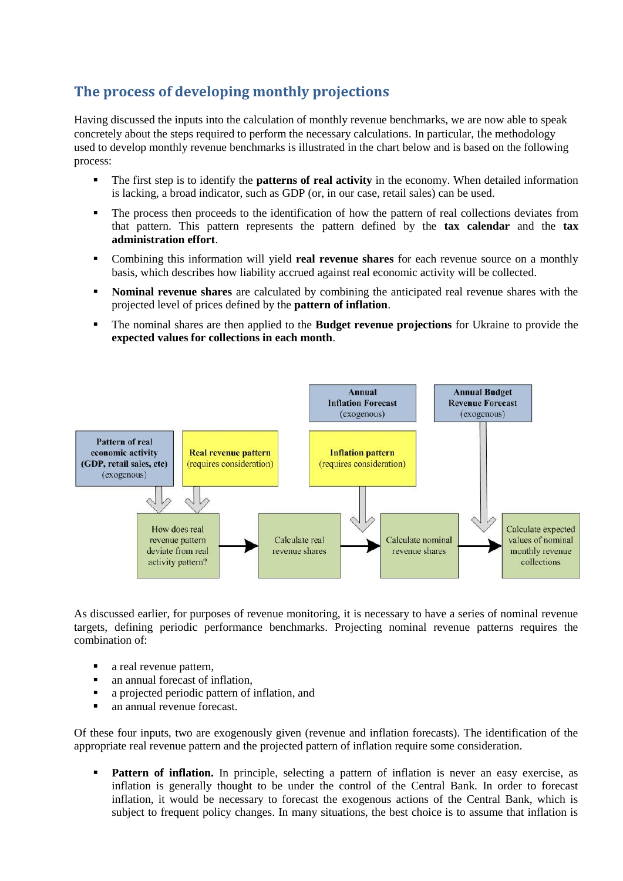# **The process of developing monthly projections**

Having discussed the inputs into the calculation of monthly revenue benchmarks, we are now able to speak concretely about the steps required to perform the necessary calculations. In particular, the methodology used to develop monthly revenue benchmarks is illustrated in the chart below and is based on the following process:

- The first step is to identify the **patterns of real activity** in the economy. When detailed information is lacking, a broad indicator, such as GDP (or, in our case, retail sales) can be used.
- The process then proceeds to the identification of how the pattern of real collections deviates from that pattern. This pattern represents the pattern defined by the **tax calendar** and the **tax administration effort**.
- Combining this information will yield **real revenue shares** for each revenue source on a monthly basis, which describes how liability accrued against real economic activity will be collected.
- **Nominal revenue shares** are calculated by combining the anticipated real revenue shares with the projected level of prices defined by the **pattern of inflation**.
- The nominal shares are then applied to the **Budget revenue projections** for Ukraine to provide the **expected values for collections in each month**.



As discussed earlier, for purposes of revenue monitoring, it is necessary to have a series of nominal revenue targets, defining periodic performance benchmarks. Projecting nominal revenue patterns requires the combination of:

- a real revenue pattern,
- an annual forecast of inflation,
- a projected periodic pattern of inflation, and
- an annual revenue forecast.

Of these four inputs, two are exogenously given (revenue and inflation forecasts). The identification of the appropriate real revenue pattern and the projected pattern of inflation require some consideration.

Pattern of inflation. In principle, selecting a pattern of inflation is never an easy exercise, as inflation is generally thought to be under the control of the Central Bank. In order to forecast inflation, it would be necessary to forecast the exogenous actions of the Central Bank, which is subject to frequent policy changes. In many situations, the best choice is to assume that inflation is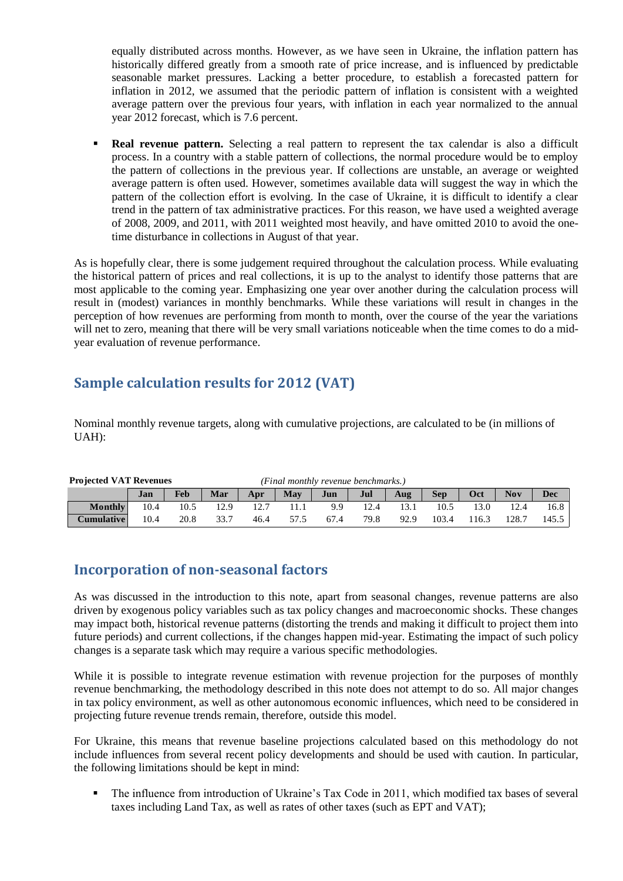equally distributed across months. However, as we have seen in Ukraine, the inflation pattern has historically differed greatly from a smooth rate of price increase, and is influenced by predictable seasonable market pressures. Lacking a better procedure, to establish a forecasted pattern for inflation in 2012, we assumed that the periodic pattern of inflation is consistent with a weighted average pattern over the previous four years, with inflation in each year normalized to the annual year 2012 forecast, which is 7.6 percent.

**Real revenue pattern.** Selecting a real pattern to represent the tax calendar is also a difficult process. In a country with a stable pattern of collections, the normal procedure would be to employ the pattern of collections in the previous year. If collections are unstable, an average or weighted average pattern is often used. However, sometimes available data will suggest the way in which the pattern of the collection effort is evolving. In the case of Ukraine, it is difficult to identify a clear trend in the pattern of tax administrative practices. For this reason, we have used a weighted average of 2008, 2009, and 2011, with 2011 weighted most heavily, and have omitted 2010 to avoid the onetime disturbance in collections in August of that year.

As is hopefully clear, there is some judgement required throughout the calculation process. While evaluating the historical pattern of prices and real collections, it is up to the analyst to identify those patterns that are most applicable to the coming year. Emphasizing one year over another during the calculation process will result in (modest) variances in monthly benchmarks. While these variations will result in changes in the perception of how revenues are performing from month to month, over the course of the year the variations will net to zero, meaning that there will be very small variations noticeable when the time comes to do a midyear evaluation of revenue performance.

## **Sample calculation results for 2012 (VAT)**

Nominal monthly revenue targets, along with cumulative projections, are calculated to be (in millions of UAH):

| <b>Projected VAT Revenues</b> | (Final monthly revenue benchmarks.) |      |      |      |      |      |      |      |            |       |            |            |
|-------------------------------|-------------------------------------|------|------|------|------|------|------|------|------------|-------|------------|------------|
|                               | Jan                                 | Feb  | Mar  | Apr  | May  | Jun  | Jul  | Aug  | <b>Sep</b> | Oct   | <b>Nov</b> | <b>Dec</b> |
| <b>Monthly</b>                | 10.4                                | 10.5 | 12.9 |      |      | 9.9  | 12.4 |      | 10.5       | 13.0  | 12.4       | 16.8       |
| <b>Cumulative  </b>           | 10.4                                | 20.8 | 33.7 | 46.4 | 57.5 | 67.4 | 79.8 | 92.9 | 103.4      | 116.3 | 128.7      | 145.5      |

## **Incorporation of non-seasonal factors**

As was discussed in the introduction to this note, apart from seasonal changes, revenue patterns are also driven by exogenous policy variables such as tax policy changes and macroeconomic shocks. These changes may impact both, historical revenue patterns (distorting the trends and making it difficult to project them into future periods) and current collections, if the changes happen mid-year. Estimating the impact of such policy changes is a separate task which may require a various specific methodologies. **Example 18 The Final Fig. 11 Example 19 11 11 Example 19 11 11 Ang Example 19 104 Example 10.4 Example 10.4 Example 10.4 Example 10.4 Example 10.4 Example 10.4 Example 10.4 Example 10.4 Example** 

While it is possible to integrate revenue estimation with revenue projection for the purposes of monthly revenue benchmarking, the methodology described in this note does not attempt to do so. All major changes in tax policy environment, as well as other autonomous economic influences, which need to be considered in projecting future revenue trends remain, therefore, outside this model.

For Ukraine, this means that revenue baseline projections calculated based on this methodology do not include influences from several recent policy developments and should be used with caution. In particular, the following limitations should be kept in mind:

The influence from introduction of Ukraine's Tax Code in 2011, which modified tax bases of several